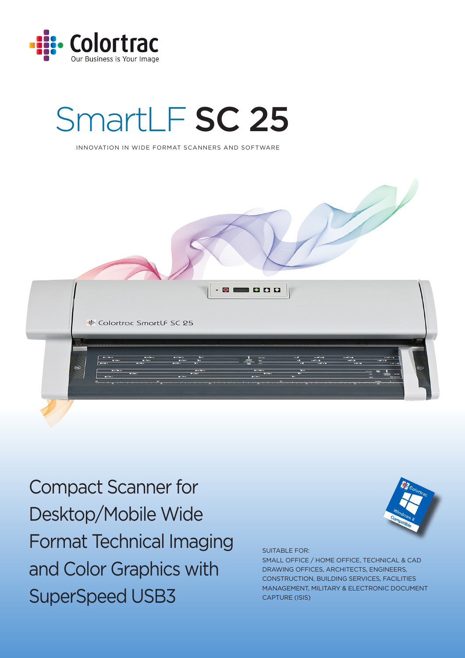

# SmartLF SC 25

INNOVATION IN WIDE FORMAT SCANNERS AND SOFTWARE



Compact Scanner for Desktop/Mobile Wide Format Technical Imaging and Color Graphics with SuperSpeed USB3

SUITABLE FOR:

SMALL OFFICE / HOME OFFICE, TECHNICAL & CAD DRAWING OFFICES, ARCHITECTS, ENGINEERS, CONSTRUCTION, BUILDING SERVICES, FACILITIES MANAGEMENT, MILITARY & ELECTRONIC DOCUMENT CAPTURE (ISIS)